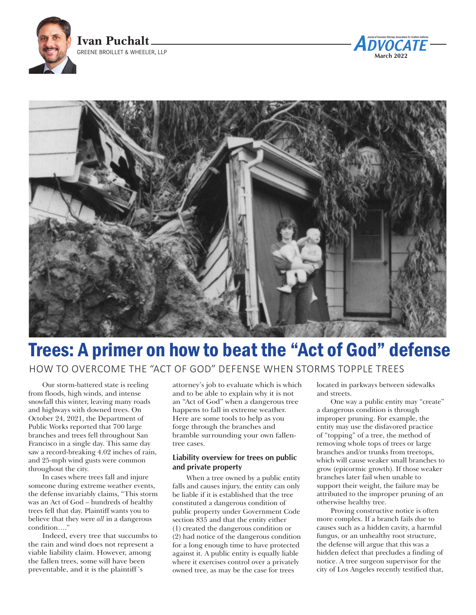





# Trees: A primer on how to beat the "Act of God" defense

HOW TO OVERCOME THE "ACT OF GOD" DEFENSE WHEN STORMS TOPPLE TREES

Our storm-battered state is reeling from floods, high winds, and intense snowfall this winter, leaving many roads and highways with downed trees. On October 24, 2021, the Department of Public Works reported that 700 large branches and trees fell throughout San Francisco in a single day. This same day saw a record-breaking 4.02 inches of rain, and 25-mph wind gusts were common throughout the city.

In cases where trees fall and injure someone during extreme weather events, the defense invariably claims, "This storm was an Act of God – hundreds of healthy trees fell that day. Plaintiff wants you to believe that they were *all* in a dangerous condition…<sup>"</sup>

Indeed, every tree that succumbs to the rain and wind does not represent a viable liability claim. However, among the fallen trees, some will have been preventable, and it is the plaintiff 's

attorney's job to evaluate which is which and to be able to explain why it is not an "Act of God" when a dangerous tree happens to fall in extreme weather. Here are some tools to help as you forge through the branches and bramble surrounding your own fallentree cases.

# **Liability overview for trees on public and private property**

When a tree owned by a public entity falls and causes injury, the entity can only be liable if it is established that the tree constituted a dangerous condition of public property under Government Code section 835 and that the entity either (1) created the dangerous condition or (2) had notice of the dangerous condition for a long enough time to have protected against it. A public entity is equally liable where it exercises control over a privately owned tree, as may be the case for trees

located in parkways between sidewalks and streets.

One way a public entity may "create" a dangerous condition is through improper pruning. For example, the entity may use the disfavored practice of "topping" of a tree, the method of removing whole tops of trees or large branches and/or trunks from treetops, which will cause weaker small branches to grow (epicormic growth). If those weaker branches later fail when unable to support their weight, the failure may be attributed to the improper pruning of an otherwise healthy tree.

Proving constructive notice is often more complex. If a branch fails due to causes such as a hidden cavity, a harmful fungus, or an unhealthy root structure, the defense will argue that this was a hidden defect that precludes a finding of notice. A tree surgeon supervisor for the city of Los Angeles recently testified that,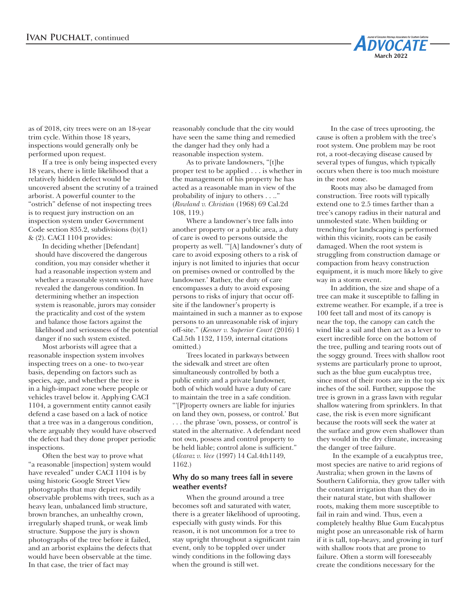

If a tree is only being inspected every 18 years, there is little likelihood that a relatively hidden defect would be uncovered absent the scrutiny of a trained arborist. A powerful counter to the "ostrich" defense of not inspecting trees is to request jury instruction on an inspection system under Government Code section 835.2, subdivisions (b)(1) & (2). CACI 1104 provides:

In deciding whether [Defendant] should have discovered the dangerous condition, you may consider whether it had a reasonable inspection system and whether a reasonable system would have revealed the dangerous condition. In determining whether an inspection system is reasonable, jurors may consider the practicality and cost of the system and balance those factors against the likelihood and seriousness of the potential danger if no such system existed.

Most arborists will agree that a reasonable inspection system involves inspecting trees on a one- to two-year basis, depending on factors such as species, age, and whether the tree is in a high-impact zone where people or vehicles travel below it. Applying CACI 1104, a government entity cannot easily defend a case based on a lack of notice that a tree was in a dangerous condition, where arguably they would have observed the defect had they done proper periodic inspections.

Often the best way to prove what "a reasonable [inspection] system would have revealed" under CACI 1104 is by using historic Google Street View photographs that may depict readily observable problems with trees, such as a heavy lean, unbalanced limb structure, brown branches, an unhealthy crown, irregularly shaped trunk, or weak limb structure. Suppose the jury is shown photographs of the tree before it failed, and an arborist explains the defects that would have been observable at the time. In that case, the trier of fact may

reasonably conclude that the city would have seen the same thing and remedied the danger had they only had a reasonable inspection system.

As to private landowners, "[t]he proper test to be applied . . . is whether in the management of his property he has acted as a reasonable man in view of the probability of injury to others . . .." (*Rowland v. Christian* (1968) 69 Cal.2d 108, 119.)

Where a landowner's tree falls into another property or a public area, a duty of care is owed to persons outside the property as well. '"[A] landowner's duty of care to avoid exposing others to a risk of injury is not limited to injuries that occur on premises owned or controlled by the landowner.' Rather, the duty of care encompasses a duty to avoid exposing persons to risks of injury that occur offsite if the landowner's property is maintained in such a manner as to expose persons to an unreasonable risk of injury off-site." (*Kesner v. Superior Court* (2016) 1 Cal.5th 1132, 1159, internal citations omitted.)

Trees located in parkways between the sidewalk and street are often simultaneously controlled by both a public entity and a private landowner, both of which would have a duty of care to maintain the tree in a safe condition. "'[P]roperty owners are liable for injuries on land they own, possess, or control.' But . . . the phrase 'own, possess, or control' is stated in the alternative. A defendant need not own, possess and control property to be held liable; control alone is sufficient." (*Alcaraz v. Vece* (1997) 14 Cal.4th1149, 1162.)

### **Why do so many trees fall in severe weather events?**

When the ground around a tree becomes soft and saturated with water, there is a greater likelihood of uprooting, especially with gusty winds. For this reason, it is not uncommon for a tree to stay upright throughout a significant rain event, only to be toppled over under windy conditions in the following days when the ground is still wet.

In the case of trees uprooting, the cause is often a problem with the tree's root system. One problem may be root rot, a root-decaying disease caused by several types of fungus, which typically occurs when there is too much moisture in the root zone.

**March 2022**

ADVOCATF

Roots may also be damaged from construction. Tree roots will typically extend one to 2.5 times farther than a tree's canopy radius in their natural and unmolested state. When building or trenching for landscaping is performed within this vicinity, roots can be easily damaged. When the root system is struggling from construction damage or compaction from heavy construction equipment, it is much more likely to give way in a storm event.

In addition, the size and shape of a tree can make it susceptible to falling in extreme weather. For example, if a tree is 100 feet tall and most of its canopy is near the top, the canopy can catch the wind like a sail and then act as a lever to exert incredible force on the bottom of the tree, pulling and tearing roots out of the soggy ground. Trees with shallow root systems are particularly prone to uproot, such as the blue gum eucalyptus tree, since most of their roots are in the top six inches of the soil. Further, suppose the tree is grown in a grass lawn with regular shallow watering from sprinklers. In that case, the risk is even more significant because the roots will seek the water at the surface and grow even shallower than they would in the dry climate, increasing the danger of tree failure.

 In the example of a eucalyptus tree, most species are native to arid regions of Australia; when grown in the lawns of Southern California, they grow taller with the constant irrigation than they do in their natural state, but with shallower roots, making them more susceptible to fail in rain and wind. Thus, even a completely healthy Blue Gum Eucalyptus might pose an unreasonable risk of harm if it is tall, top-heavy, and growing in turf with shallow roots that are prone to failure. Often a storm will foreseeably create the conditions necessary for the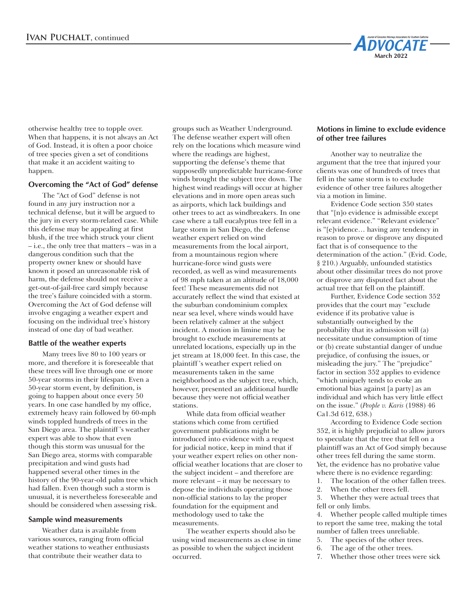

otherwise healthy tree to topple over. When that happens, it is not always an Act of God. Instead, it is often a poor choice of tree species given a set of conditions that make it an accident waiting to happen.

## **Overcoming the "Act of God" defense**

The "Act of God" defense is not found in any jury instruction nor a technical defense, but it will be argued to the jury in every storm-related case. While this defense may be appealing at first blush, if the tree which struck your client – i.e., the only tree that matters – was in a dangerous condition such that the property owner knew or should have known it posed an unreasonable risk of harm, the defense should not receive a get-out-of-jail-free card simply because the tree's failure coincided with a storm. Overcoming the Act of God defense will involve engaging a weather expert and focusing on the individual tree's history instead of one day of bad weather.

## **Battle of the weather experts**

Many trees live 80 to 100 years or more, and therefore it is foreseeable that these trees will live through one or more 50-year storms in their lifespan. Even a 50-year storm event, by definition, is going to happen about once every 50 years. In one case handled by my office, extremely heavy rain followed by 60-mph winds toppled hundreds of trees in the San Diego area. The plaintiff 's weather expert was able to show that even though this storm was unusual for the San Diego area, storms with comparable precipitation and wind gusts had happened several other times in the history of the 90-year-old palm tree which had fallen. Even though such a storm is unusual, it is nevertheless foreseeable and should be considered when assessing risk.

#### **Sample wind measurements**

Weather data is available from various sources, ranging from official weather stations to weather enthusiasts that contribute their weather data to

groups such as Weather Underground. The defense weather expert will often rely on the locations which measure wind where the readings are highest, supporting the defense's theme that supposedly unpredictable hurricane-force winds brought the subject tree down. The highest wind readings will occur at higher elevations and in more open areas such as airports, which lack buildings and other trees to act as windbreakers. In one case where a tall eucalyptus tree fell in a large storm in San Diego, the defense weather expert relied on wind measurements from the local airport, from a mountainous region where hurricane-force wind gusts were recorded, as well as wind measurements of 98 mph taken at an altitude of 18,000 feet! These measurements did not accurately reflect the wind that existed at the suburban condominium complex near sea level, where winds would have been relatively calmer at the subject incident. A motion in limine may be brought to exclude measurements at unrelated locations, especially up in the jet stream at 18,000 feet. In this case, the plaintiff 's weather expert relied on measurements taken in the same neighborhood as the subject tree, which, however, presented an additional hurdle because they were not official weather stations.

While data from official weather stations which come from certified government publications might be introduced into evidence with a request for judicial notice, keep in mind that if your weather expert relies on other nonofficial weather locations that are closer to the subject incident – and therefore are more relevant – it may be necessary to depose the individuals operating those non-official stations to lay the proper foundation for the equipment and methodology used to take the measurements.

The weather experts should also be using wind measurements as close in time as possible to when the subject incident occurred.

## **Motions in limine to exclude evidence of other tree failures**

Another way to neutralize the argument that the tree that injured your clients was one of hundreds of trees that fell in the same storm is to exclude evidence of other tree failures altogether via a motion in limine.

Evidence Code section 350 states that "[n]o evidence is admissible except relevant evidence." "Relevant evidence" is "[e]vidence… having any tendency in reason to prove or disprove any disputed fact that is of consequence to the determination of the action." (Evid. Code, § 210.) Arguably, unfounded statistics about other dissimilar trees do not prove or disprove any disputed fact about the actual tree that fell on the plaintiff.

Further, Evidence Code section 352 provides that the court may "exclude evidence if its probative value is substantially outweighed by the probability that its admission will (a) necessitate undue consumption of time or (b) create substantial danger of undue prejudice, of confusing the issues, or misleading the jury." The "prejudice" factor in section 352 applies to evidence "which uniquely tends to evoke an emotional bias against [a party] as an individual and which has very little effect on the issue." (*People v. Karis* (1988) 46 Ca1.3d 612, 638.)

According to Evidence Code section 352, it is highly prejudicial to allow jurors to speculate that the tree that fell on a plaintiff was an Act of God simply because other trees fell during the same storm. Yet, the evidence has no probative value where there is no evidence regarding:

1. The location of the other fallen trees. 2. When the other trees fell.

3. Whether they were actual trees that fell or only limbs.

4. Whether people called multiple times to report the same tree, making the total number of fallen trees unreliable.

- 5. The species of the other trees.
- 6. The age of the other trees.
- 7. Whether those other trees were sick